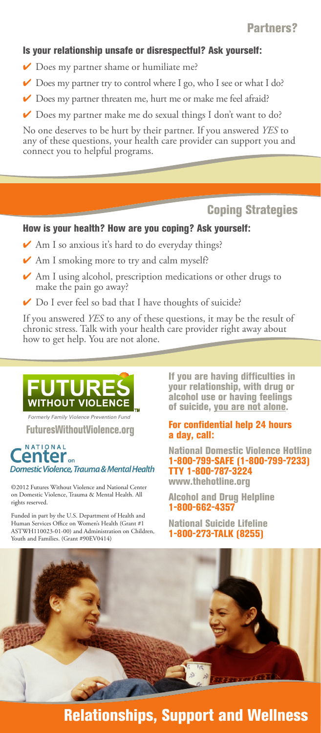### Is your relationship unsafe or disrespectful? Ask yourself:

- ✔ Does my partner shame or humiliate me?
- ✔ Does my partner try to control where I go, who I see or what I do?
- ◆ Does my partner threaten me, hurt me or make me feel afraid?
- ✔ Does my partner make me do sexual things I don't want to do?

No one deserves to be hurt by their partner. If you answered *YES* to any of these questions, your health care provider can support you and connect you to helpful programs.

## Coping Strategies

## How is your health? How are you coping? Ask yourself:

- ◆ Am I so anxious it's hard to do everyday things?
- $\vee$  Am I smoking more to try and calm myself?
- ✔ Am I using alcohol, prescription medications or other drugs to make the pain go away?
- ✔ Do I ever feel so bad that I have thoughts of suicide?

If you answered *YES* to any of these questions, it may be the result of chronic stress. Talk with your health care provider right away about how to get help. You are not alone.



*Formerly Family Violence Prevention Fund* FuturesWithoutViolence.org

### NATIONAL enter... Domestic Violence, Trauma & Mental Health

©2012 Futures Without Violence and National Center on Domestic Violence, Trauma & Mental Health. All rights reserved.

Funded in part by the U.S. Department of Health and Human Services Office on Women's Health (Grant #1 ASTWH110023-01-00) and Administration on Children, Youth and Families. (Grant #90EV0414)

If you are having difficulties in your relationship, with drug or alcohol use or having feelings of suicide, you are not alone.

#### For confidential help 24 hours a day, call:

National Domestic Violence Hotline 1-800-799-SAFE (1-800-799-7233) TTY 1-800-787-3224 www.thehotline.org

Alcohol and Drug Helpline 1-800-662-4357

National Suicide Lifeline 1-800-273-TALK (8255)



# Relationships, Support and Wellness